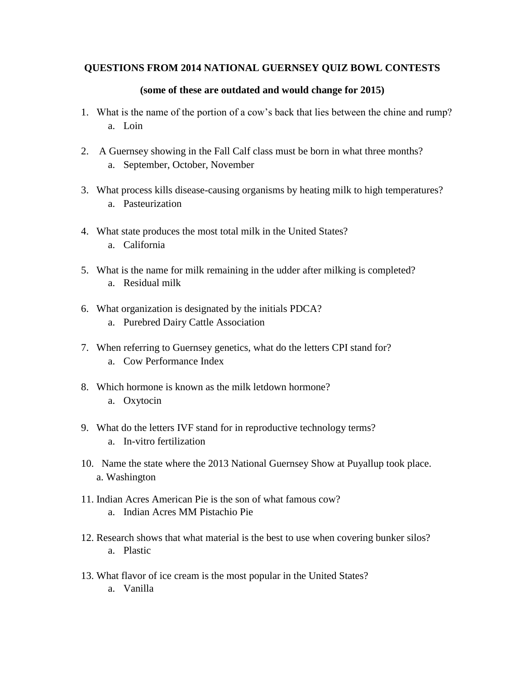## **QUESTIONS FROM 2014 NATIONAL GUERNSEY QUIZ BOWL CONTESTS**

## **(some of these are outdated and would change for 2015)**

- 1. What is the name of the portion of a cow's back that lies between the chine and rump? a. Loin
- 2. A Guernsey showing in the Fall Calf class must be born in what three months? a. September, October, November
- 3. What process kills disease-causing organisms by heating milk to high temperatures? a. Pasteurization
- 4. What state produces the most total milk in the United States? a. California
- 5. What is the name for milk remaining in the udder after milking is completed? a. Residual milk
- 6. What organization is designated by the initials PDCA? a. Purebred Dairy Cattle Association
- 7. When referring to Guernsey genetics, what do the letters CPI stand for? a. Cow Performance Index
- 8. Which hormone is known as the milk letdown hormone? a. Oxytocin
- 9. What do the letters IVF stand for in reproductive technology terms? a. In-vitro fertilization
- 10. Name the state where the 2013 National Guernsey Show at Puyallup took place. a. Washington
- 11. Indian Acres American Pie is the son of what famous cow? a. Indian Acres MM Pistachio Pie
- 12. Research shows that what material is the best to use when covering bunker silos? a. Plastic
- 13. What flavor of ice cream is the most popular in the United States? a. Vanilla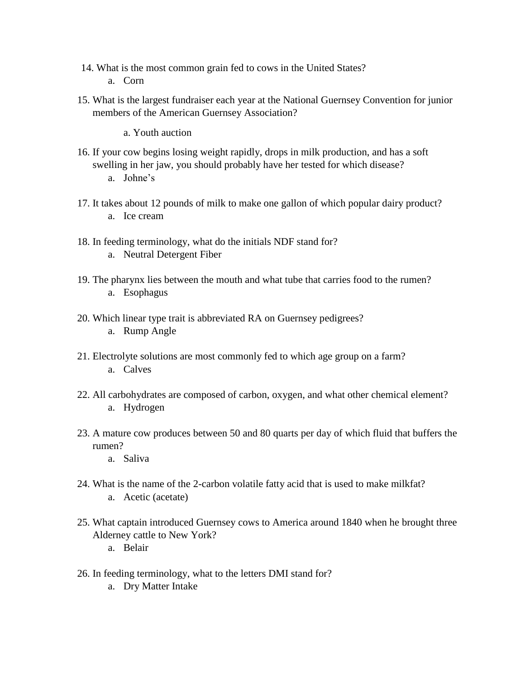- 14. What is the most common grain fed to cows in the United States? a. Corn
- 15. What is the largest fundraiser each year at the National Guernsey Convention for junior members of the American Guernsey Association?
	- a. Youth auction
- 16. If your cow begins losing weight rapidly, drops in milk production, and has a soft swelling in her jaw, you should probably have her tested for which disease? a. Johne's
	-
- 17. It takes about 12 pounds of milk to make one gallon of which popular dairy product? a. Ice cream
- 18. In feeding terminology, what do the initials NDF stand for? a. Neutral Detergent Fiber
- 19. The pharynx lies between the mouth and what tube that carries food to the rumen? a. Esophagus
- 20. Which linear type trait is abbreviated RA on Guernsey pedigrees? a. Rump Angle
- 21. Electrolyte solutions are most commonly fed to which age group on a farm? a. Calves
- 22. All carbohydrates are composed of carbon, oxygen, and what other chemical element? a. Hydrogen
- 23. A mature cow produces between 50 and 80 quarts per day of which fluid that buffers the rumen?
	- a. Saliva
- 24. What is the name of the 2-carbon volatile fatty acid that is used to make milkfat? a. Acetic (acetate)
- 25. What captain introduced Guernsey cows to America around 1840 when he brought three Alderney cattle to New York?
	- a. Belair
- 26. In feeding terminology, what to the letters DMI stand for?
	- a. Dry Matter Intake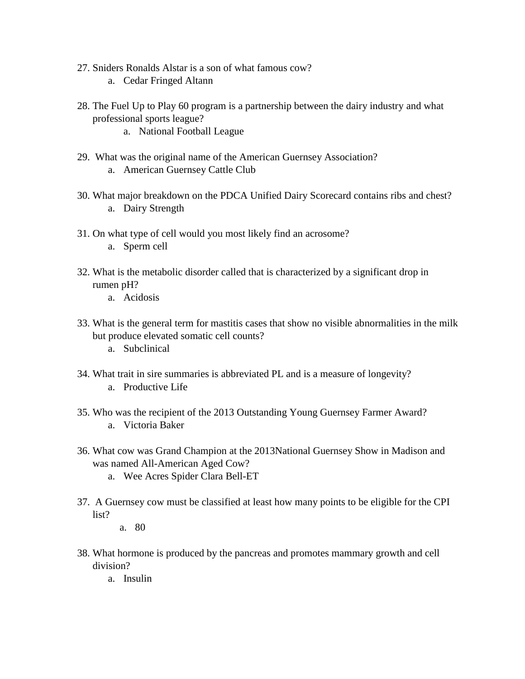- 27. Sniders Ronalds Alstar is a son of what famous cow? a. Cedar Fringed Altann
- 28. The Fuel Up to Play 60 program is a partnership between the dairy industry and what professional sports league?
	- a. National Football League
- 29. What was the original name of the American Guernsey Association? a. American Guernsey Cattle Club
- 30. What major breakdown on the PDCA Unified Dairy Scorecard contains ribs and chest? a. Dairy Strength
- 31. On what type of cell would you most likely find an acrosome?
	- a. Sperm cell
- 32. What is the metabolic disorder called that is characterized by a significant drop in rumen pH?
	- a. Acidosis
- 33. What is the general term for mastitis cases that show no visible abnormalities in the milk but produce elevated somatic cell counts?
	- a. Subclinical
- 34. What trait in sire summaries is abbreviated PL and is a measure of longevity? a. Productive Life
- 35. Who was the recipient of the 2013 Outstanding Young Guernsey Farmer Award? a. Victoria Baker
- 36. What cow was Grand Champion at the 2013National Guernsey Show in Madison and was named All-American Aged Cow?
	- a. Wee Acres Spider Clara Bell-ET
- 37. A Guernsey cow must be classified at least how many points to be eligible for the CPI list?
	- a. 80
- 38. What hormone is produced by the pancreas and promotes mammary growth and cell division?
	- a. Insulin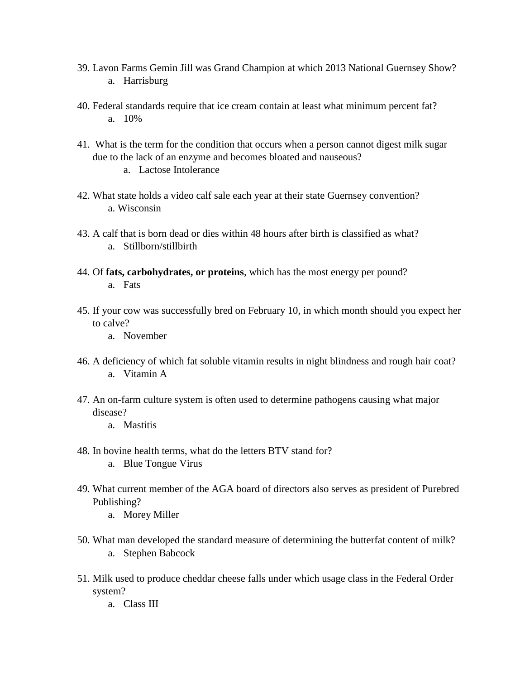- 39. Lavon Farms Gemin Jill was Grand Champion at which 2013 National Guernsey Show? a. Harrisburg
- 40. Federal standards require that ice cream contain at least what minimum percent fat? a. 10%
- 41. What is the term for the condition that occurs when a person cannot digest milk sugar due to the lack of an enzyme and becomes bloated and nauseous?
	- a. Lactose Intolerance
- 42. What state holds a video calf sale each year at their state Guernsey convention? a. Wisconsin
- 43. A calf that is born dead or dies within 48 hours after birth is classified as what? a. Stillborn/stillbirth
- 44. Of **fats, carbohydrates, or proteins**, which has the most energy per pound? a. Fats
- 45. If your cow was successfully bred on February 10, in which month should you expect her to calve?
	- a. November
- 46. A deficiency of which fat soluble vitamin results in night blindness and rough hair coat? a. Vitamin A
- 47. An on-farm culture system is often used to determine pathogens causing what major disease?
	- a. Mastitis
- 48. In bovine health terms, what do the letters BTV stand for? a. Blue Tongue Virus
- 49. What current member of the AGA board of directors also serves as president of Purebred Publishing?
	- a. Morey Miller
- 50. What man developed the standard measure of determining the butterfat content of milk? a. Stephen Babcock
- 51. Milk used to produce cheddar cheese falls under which usage class in the Federal Order system?
	- a. Class III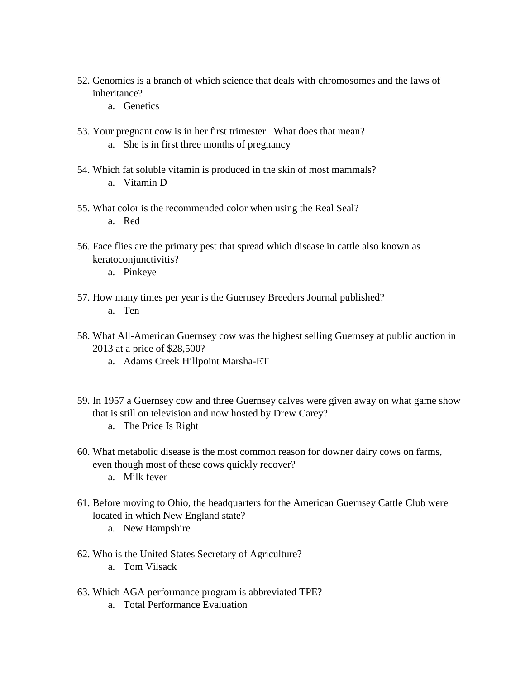- 52. Genomics is a branch of which science that deals with chromosomes and the laws of inheritance?
	- a. Genetics
- 53. Your pregnant cow is in her first trimester. What does that mean?
	- a. She is in first three months of pregnancy
- 54. Which fat soluble vitamin is produced in the skin of most mammals? a. Vitamin D
- 55. What color is the recommended color when using the Real Seal? a. Red
- 56. Face flies are the primary pest that spread which disease in cattle also known as keratoconjunctivitis?
	- a. Pinkeye
- 57. How many times per year is the Guernsey Breeders Journal published? a. Ten
- 58. What All-American Guernsey cow was the highest selling Guernsey at public auction in 2013 at a price of \$28,500?
	- a. Adams Creek Hillpoint Marsha-ET
- 59. In 1957 a Guernsey cow and three Guernsey calves were given away on what game show that is still on television and now hosted by Drew Carey?
	- a. The Price Is Right
- 60. What metabolic disease is the most common reason for downer dairy cows on farms, even though most of these cows quickly recover? a. Milk fever
	-
- 61. Before moving to Ohio, the headquarters for the American Guernsey Cattle Club were located in which New England state?
	- a. New Hampshire
- 62. Who is the United States Secretary of Agriculture?
	- a. Tom Vilsack
- 63. Which AGA performance program is abbreviated TPE?
	- a. Total Performance Evaluation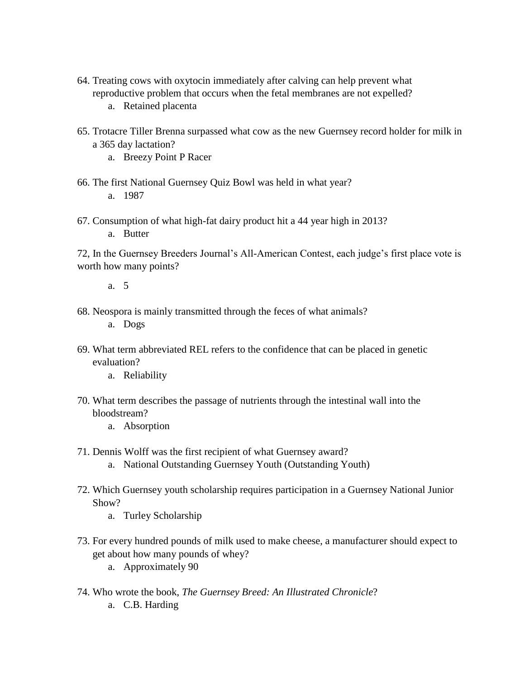- 64. Treating cows with oxytocin immediately after calving can help prevent what reproductive problem that occurs when the fetal membranes are not expelled?
	- a. Retained placenta
- 65. Trotacre Tiller Brenna surpassed what cow as the new Guernsey record holder for milk in a 365 day lactation?
	- a. Breezy Point P Racer
- 66. The first National Guernsey Quiz Bowl was held in what year? a. 1987
- 67. Consumption of what high-fat dairy product hit a 44 year high in 2013? a. Butter

72, In the Guernsey Breeders Journal's All-American Contest, each judge's first place vote is worth how many points?

a. 5

68. Neospora is mainly transmitted through the feces of what animals?

a. Dogs

- 69. What term abbreviated REL refers to the confidence that can be placed in genetic evaluation?
	- a. Reliability
- 70. What term describes the passage of nutrients through the intestinal wall into the bloodstream?
	- a. Absorption
- 71. Dennis Wolff was the first recipient of what Guernsey award? a. National Outstanding Guernsey Youth (Outstanding Youth)
- 72. Which Guernsey youth scholarship requires participation in a Guernsey National Junior Show?
	- a. Turley Scholarship
- 73. For every hundred pounds of milk used to make cheese, a manufacturer should expect to get about how many pounds of whey?
	- a. Approximately 90
- 74. Who wrote the book, *The Guernsey Breed: An Illustrated Chronicle*? a. C.B. Harding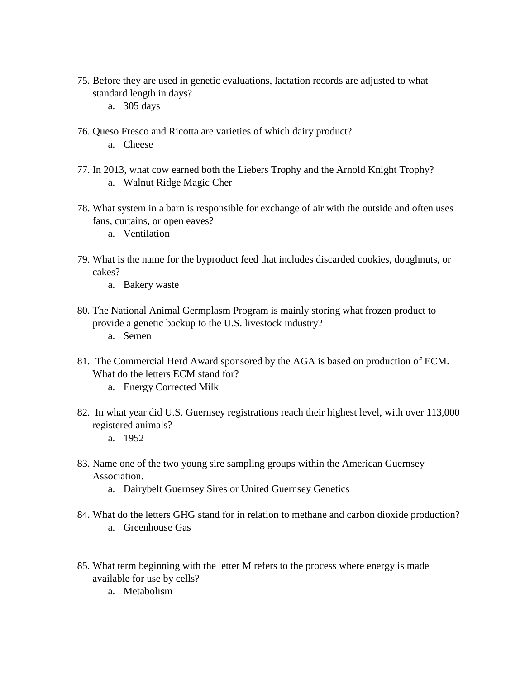- 75. Before they are used in genetic evaluations, lactation records are adjusted to what standard length in days?
	- a. 305 days
- 76. Queso Fresco and Ricotta are varieties of which dairy product?
	- a. Cheese
- 77. In 2013, what cow earned both the Liebers Trophy and the Arnold Knight Trophy? a. Walnut Ridge Magic Cher
- 78. What system in a barn is responsible for exchange of air with the outside and often uses fans, curtains, or open eaves?
	- a. Ventilation
- 79. What is the name for the byproduct feed that includes discarded cookies, doughnuts, or cakes?
	- a. Bakery waste
- 80. The National Animal Germplasm Program is mainly storing what frozen product to provide a genetic backup to the U.S. livestock industry?
	- a. Semen
- 81. The Commercial Herd Award sponsored by the AGA is based on production of ECM. What do the letters ECM stand for?
	- a. Energy Corrected Milk
- 82. In what year did U.S. Guernsey registrations reach their highest level, with over 113,000 registered animals?
	- a. 1952
- 83. Name one of the two young sire sampling groups within the American Guernsey Association.
	- a. Dairybelt Guernsey Sires or United Guernsey Genetics
- 84. What do the letters GHG stand for in relation to methane and carbon dioxide production? a. Greenhouse Gas
- 85. What term beginning with the letter M refers to the process where energy is made available for use by cells?
	- a. Metabolism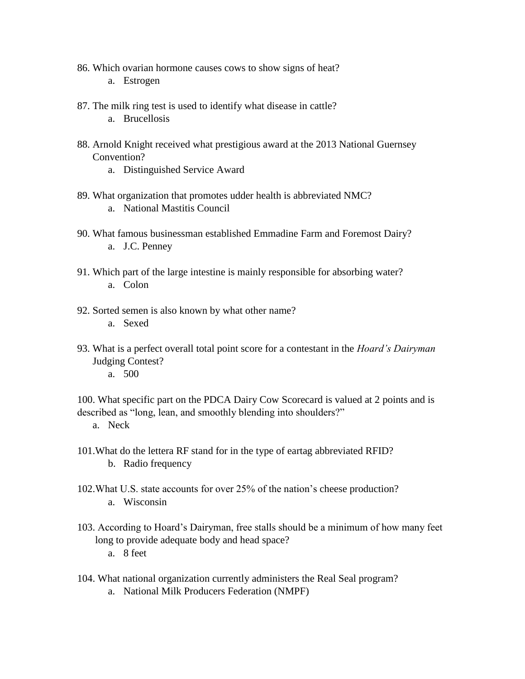- 86. Which ovarian hormone causes cows to show signs of heat? a. Estrogen
- 87. The milk ring test is used to identify what disease in cattle?
	- a. Brucellosis
- 88. Arnold Knight received what prestigious award at the 2013 National Guernsey Convention?
	- a. Distinguished Service Award
- 89. What organization that promotes udder health is abbreviated NMC? a. National Mastitis Council
- 90. What famous businessman established Emmadine Farm and Foremost Dairy? a. J.C. Penney
- 91. Which part of the large intestine is mainly responsible for absorbing water? a. Colon
- 92. Sorted semen is also known by what other name? a. Sexed
- 93. What is a perfect overall total point score for a contestant in the *Hoard's Dairyman* Judging Contest?
	- a. 500

100. What specific part on the PDCA Dairy Cow Scorecard is valued at 2 points and is described as "long, lean, and smoothly blending into shoulders?"

- a. Neck
- 101.What do the lettera RF stand for in the type of eartag abbreviated RFID? b. Radio frequency
- 102.What U.S. state accounts for over 25% of the nation's cheese production? a. Wisconsin
- 103. According to Hoard's Dairyman, free stalls should be a minimum of how many feet long to provide adequate body and head space?

a. 8 feet

- 104. What national organization currently administers the Real Seal program?
	- a. National Milk Producers Federation (NMPF)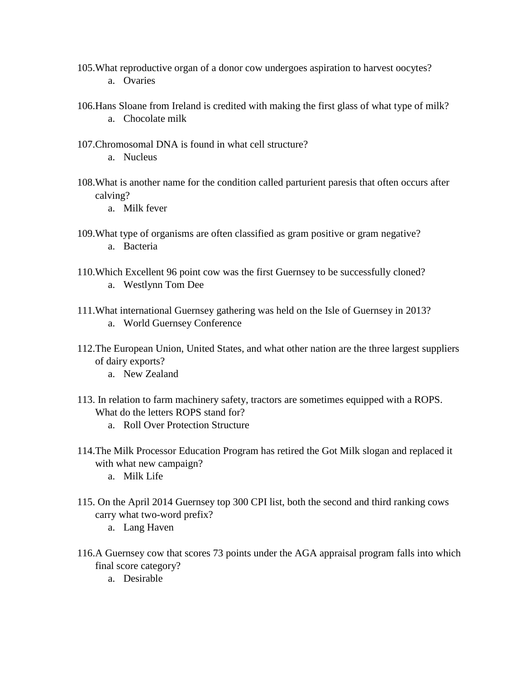- 105.What reproductive organ of a donor cow undergoes aspiration to harvest oocytes? a. Ovaries
- 106.Hans Sloane from Ireland is credited with making the first glass of what type of milk? a. Chocolate milk
- 107.Chromosomal DNA is found in what cell structure?
	- a. Nucleus
- 108.What is another name for the condition called parturient paresis that often occurs after calving?
	- a. Milk fever
- 109.What type of organisms are often classified as gram positive or gram negative? a. Bacteria
- 110.Which Excellent 96 point cow was the first Guernsey to be successfully cloned? a. Westlynn Tom Dee
- 111.What international Guernsey gathering was held on the Isle of Guernsey in 2013? a. World Guernsey Conference
- 112.The European Union, United States, and what other nation are the three largest suppliers of dairy exports?
	- a. New Zealand
- 113. In relation to farm machinery safety, tractors are sometimes equipped with a ROPS. What do the letters ROPS stand for?
	- a. Roll Over Protection Structure
- 114.The Milk Processor Education Program has retired the Got Milk slogan and replaced it with what new campaign?
	- a. Milk Life
- 115. On the April 2014 Guernsey top 300 CPI list, both the second and third ranking cows carry what two-word prefix?
	- a. Lang Haven
- 116.A Guernsey cow that scores 73 points under the AGA appraisal program falls into which final score category?
	- a. Desirable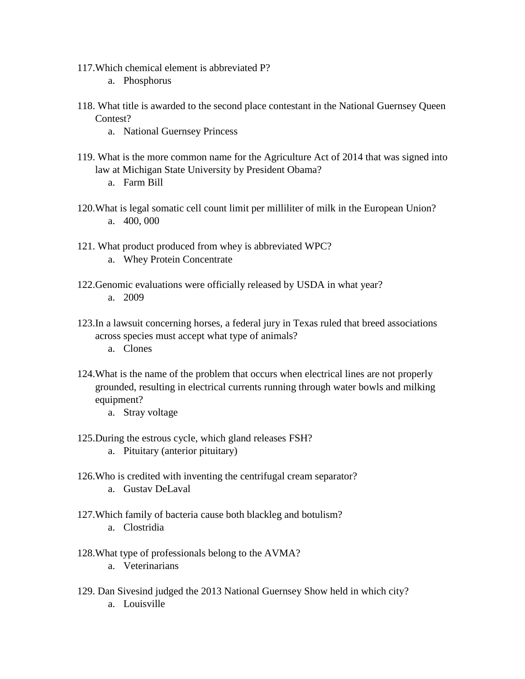- 117.Which chemical element is abbreviated P?
	- a. Phosphorus
- 118. What title is awarded to the second place contestant in the National Guernsey Queen Contest?
	- a. National Guernsey Princess
- 119. What is the more common name for the Agriculture Act of 2014 that was signed into law at Michigan State University by President Obama?
	- a. Farm Bill
- 120.What is legal somatic cell count limit per milliliter of milk in the European Union? a. 400, 000
- 121. What product produced from whey is abbreviated WPC?
	- a. Whey Protein Concentrate
- 122.Genomic evaluations were officially released by USDA in what year? a. 2009
- 123.In a lawsuit concerning horses, a federal jury in Texas ruled that breed associations across species must accept what type of animals?
	- a. Clones
- 124.What is the name of the problem that occurs when electrical lines are not properly grounded, resulting in electrical currents running through water bowls and milking equipment?
	- a. Stray voltage
- 125.During the estrous cycle, which gland releases FSH?
	- a. Pituitary (anterior pituitary)
- 126.Who is credited with inventing the centrifugal cream separator?
	- a. Gustav DeLaval
- 127.Which family of bacteria cause both blackleg and botulism? a. Clostridia
	-
- 128.What type of professionals belong to the AVMA?
	- a. Veterinarians
- 129. Dan Sivesind judged the 2013 National Guernsey Show held in which city? a. Louisville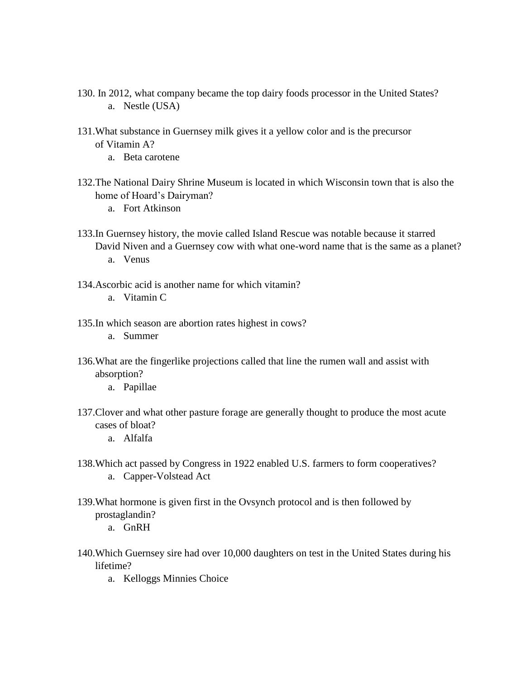- 130. In 2012, what company became the top dairy foods processor in the United States? a. Nestle (USA)
- 131.What substance in Guernsey milk gives it a yellow color and is the precursor of Vitamin A?
	- a. Beta carotene
- 132.The National Dairy Shrine Museum is located in which Wisconsin town that is also the home of Hoard's Dairyman?
	- a. Fort Atkinson
- 133.In Guernsey history, the movie called Island Rescue was notable because it starred David Niven and a Guernsey cow with what one-word name that is the same as a planet? a. Venus
- 134.Ascorbic acid is another name for which vitamin?
	- a. Vitamin C
- 135.In which season are abortion rates highest in cows?
	- a. Summer
- 136.What are the fingerlike projections called that line the rumen wall and assist with absorption?
	- a. Papillae
- 137.Clover and what other pasture forage are generally thought to produce the most acute cases of bloat?
	- a. Alfalfa
- 138.Which act passed by Congress in 1922 enabled U.S. farmers to form cooperatives? a. Capper-Volstead Act
- 139.What hormone is given first in the Ovsynch protocol and is then followed by prostaglandin?
	- a. GnRH
- 140.Which Guernsey sire had over 10,000 daughters on test in the United States during his lifetime?
	- a. Kelloggs Minnies Choice